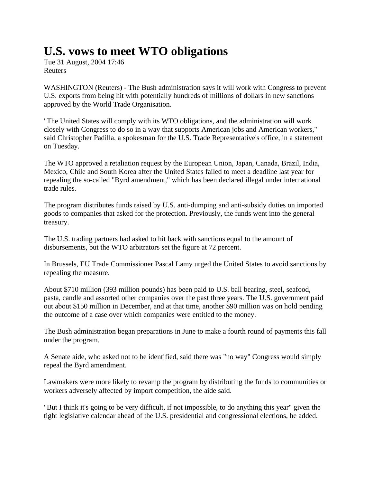## **U.S. vows to meet WTO obligations**

Tue 31 August, 2004 17:46 Reuters

WASHINGTON (Reuters) - The Bush administration says it will work with Congress to prevent U.S. exports from being hit with potentially hundreds of millions of dollars in new sanctions approved by the World Trade Organisation.

"The United States will comply with its WTO obligations, and the administration will work closely with Congress to do so in a way that supports American jobs and American workers," said Christopher Padilla, a spokesman for the U.S. Trade Representative's office, in a statement on Tuesday.

The WTO approved a retaliation request by the European Union, Japan, Canada, Brazil, India, Mexico, Chile and South Korea after the United States failed to meet a deadline last year for repealing the so-called "Byrd amendment," which has been declared illegal under international trade rules.

The program distributes funds raised by U.S. anti-dumping and anti-subsidy duties on imported goods to companies that asked for the protection. Previously, the funds went into the general treasury.

The U.S. trading partners had asked to hit back with sanctions equal to the amount of disbursements, but the WTO arbitrators set the figure at 72 percent.

In Brussels, EU Trade Commissioner Pascal Lamy urged the United States to avoid sanctions by repealing the measure.

About \$710 million (393 million pounds) has been paid to U.S. ball bearing, steel, seafood, pasta, candle and assorted other companies over the past three years. The U.S. government paid out about \$150 million in December, and at that time, another \$90 million was on hold pending the outcome of a case over which companies were entitled to the money.

The Bush administration began preparations in June to make a fourth round of payments this fall under the program.

A Senate aide, who asked not to be identified, said there was "no way" Congress would simply repeal the Byrd amendment.

Lawmakers were more likely to revamp the program by distributing the funds to communities or workers adversely affected by import competition, the aide said.

"But I think it's going to be very difficult, if not impossible, to do anything this year" given the tight legislative calendar ahead of the U.S. presidential and congressional elections, he added.